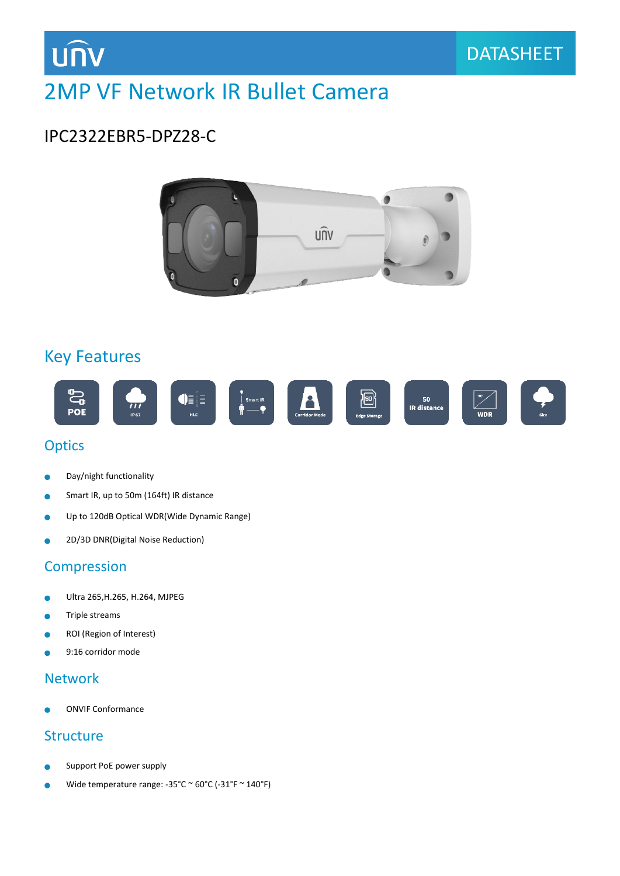

# 2MP VF Network IR Bullet Camera

### IPC2322EBR5-DPZ28-C



### Key Features



#### **Optics**

- Day/night functionality  $\bullet$
- Smart IR, up to 50m (164ft) IR distance  $\bullet$
- ä Up to 120dB Optical WDR(Wide Dynamic Range)
- 2D/3D DNR(Digital Noise Reduction)  $\bullet$

#### Compression

- Ultra 265,H.265, H.264, MJPEG ä
- Triple streams Ċ
- ROI (Region of Interest)  $\bullet$
- 9:16 corridor mode Ä

#### Network

ONVIF Conformance

#### **Structure**

- Support PoE power supply
- Wide temperature range: -35°C ~ 60°C (-31°F ~ 140°F)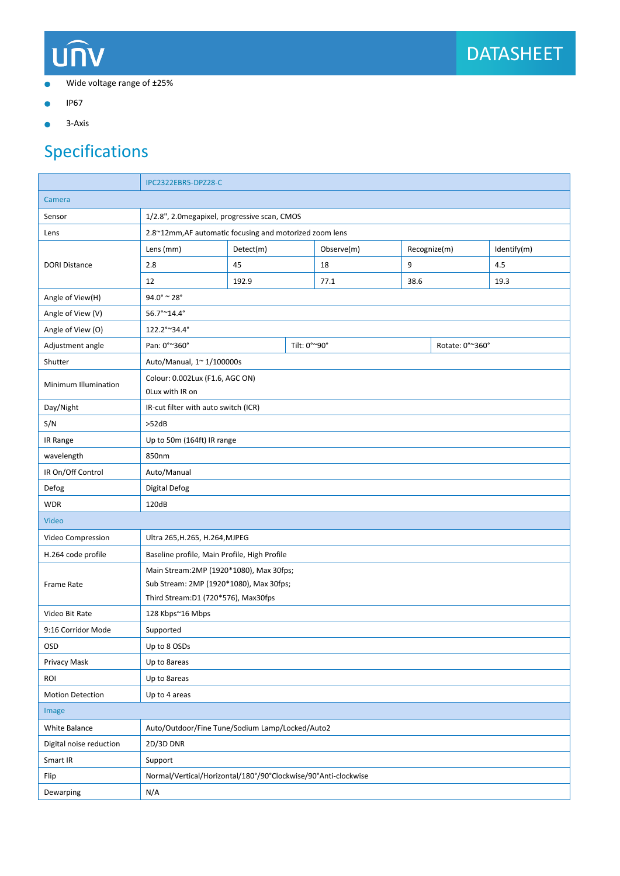# **UNV**

- Wide voltage range of ±25%  $\bullet$
- IP67  $\bullet$
- 3-Axis  $\bullet$

# Specifications

|                         | IPC2322EBR5-DPZ28-C                                                                                                        |                                                                |              |            |      |                 |             |
|-------------------------|----------------------------------------------------------------------------------------------------------------------------|----------------------------------------------------------------|--------------|------------|------|-----------------|-------------|
| Camera                  |                                                                                                                            |                                                                |              |            |      |                 |             |
| Sensor                  | 1/2.8", 2.0 megapixel, progressive scan, CMOS                                                                              |                                                                |              |            |      |                 |             |
| Lens                    | 2.8~12mm, AF automatic focusing and motorized zoom lens                                                                    |                                                                |              |            |      |                 |             |
| <b>DORI Distance</b>    | Lens (mm)                                                                                                                  | Detect(m)                                                      |              | Observe(m) |      | Recognize(m)    | Identify(m) |
|                         | 2.8                                                                                                                        | 45                                                             |              | 9<br>18    |      |                 | 4.5         |
|                         | 12                                                                                                                         | 192.9                                                          |              | 77.1       | 38.6 |                 | 19.3        |
| Angle of View(H)        | $94.0^\circ \approx 28^\circ$                                                                                              |                                                                |              |            |      |                 |             |
| Angle of View (V)       | 56.7°~14.4°                                                                                                                |                                                                |              |            |      |                 |             |
| Angle of View (O)       | 122.2°~34.4°                                                                                                               |                                                                |              |            |      |                 |             |
| Adjustment angle        | Pan: 0°~360°                                                                                                               |                                                                | Tilt: 0°~90° |            |      | Rotate: 0°~360° |             |
| Shutter                 | Auto/Manual, 1~ 1/100000s                                                                                                  |                                                                |              |            |      |                 |             |
| Minimum Illumination    | Colour: 0.002Lux (F1.6, AGC ON)<br>OLux with IR on                                                                         |                                                                |              |            |      |                 |             |
| Day/Night               | IR-cut filter with auto switch (ICR)                                                                                       |                                                                |              |            |      |                 |             |
| S/N                     | >52dB                                                                                                                      |                                                                |              |            |      |                 |             |
| IR Range                | Up to 50m (164ft) IR range                                                                                                 |                                                                |              |            |      |                 |             |
| wavelength              | 850nm                                                                                                                      |                                                                |              |            |      |                 |             |
| IR On/Off Control       | Auto/Manual                                                                                                                |                                                                |              |            |      |                 |             |
| Defog                   | <b>Digital Defog</b>                                                                                                       |                                                                |              |            |      |                 |             |
| <b>WDR</b>              | 120dB                                                                                                                      |                                                                |              |            |      |                 |             |
| Video                   |                                                                                                                            |                                                                |              |            |      |                 |             |
| Video Compression       | Ultra 265, H.265, H.264, MJPEG                                                                                             |                                                                |              |            |      |                 |             |
| H.264 code profile      | Baseline profile, Main Profile, High Profile                                                                               |                                                                |              |            |      |                 |             |
| <b>Frame Rate</b>       | Main Stream: 2MP (1920*1080), Max 30fps;<br>Sub Stream: 2MP (1920*1080), Max 30fps;<br>Third Stream:D1 (720*576), Max30fps |                                                                |              |            |      |                 |             |
| Video Bit Rate          | 128 Kbps~16 Mbps                                                                                                           |                                                                |              |            |      |                 |             |
| 9:16 Corridor Mode      | Supported                                                                                                                  |                                                                |              |            |      |                 |             |
| <b>OSD</b>              | Up to 8 OSDs                                                                                                               |                                                                |              |            |      |                 |             |
| Privacy Mask            | Up to 8areas                                                                                                               |                                                                |              |            |      |                 |             |
| ROI                     | Up to 8areas                                                                                                               |                                                                |              |            |      |                 |             |
| <b>Motion Detection</b> | Up to 4 areas                                                                                                              |                                                                |              |            |      |                 |             |
| Image                   |                                                                                                                            |                                                                |              |            |      |                 |             |
| White Balance           | Auto/Outdoor/Fine Tune/Sodium Lamp/Locked/Auto2                                                                            |                                                                |              |            |      |                 |             |
| Digital noise reduction | 2D/3D DNR                                                                                                                  |                                                                |              |            |      |                 |             |
| Smart IR                | Support                                                                                                                    |                                                                |              |            |      |                 |             |
| Flip                    |                                                                                                                            | Normal/Vertical/Horizontal/180°/90°Clockwise/90°Anti-clockwise |              |            |      |                 |             |
| Dewarping               | N/A                                                                                                                        |                                                                |              |            |      |                 |             |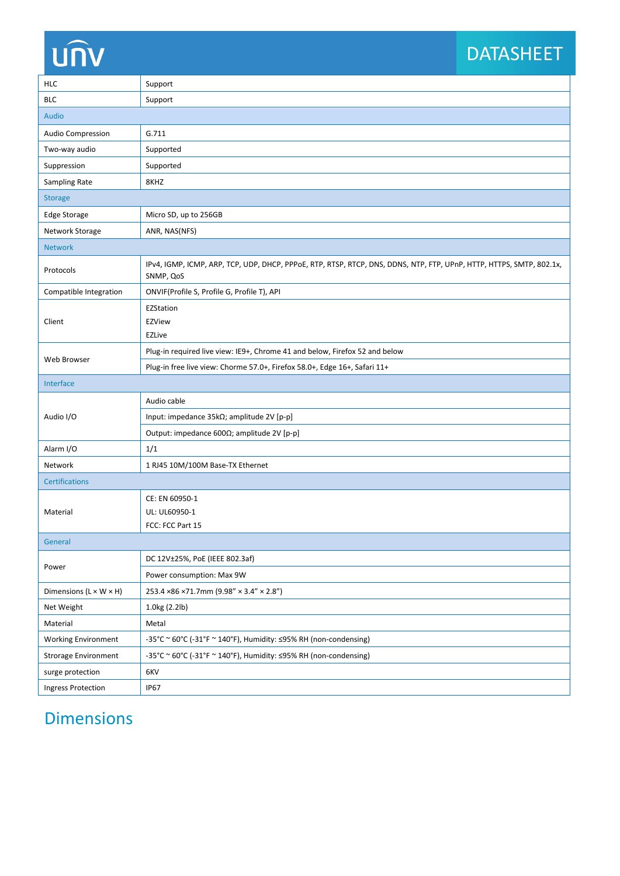# unv

# DATASHEET

| <b>HLC</b>                         | Support                                                                                                                           |  |  |  |  |
|------------------------------------|-----------------------------------------------------------------------------------------------------------------------------------|--|--|--|--|
| <b>BLC</b>                         | Support                                                                                                                           |  |  |  |  |
| <b>Audio</b>                       |                                                                                                                                   |  |  |  |  |
| <b>Audio Compression</b>           | G.711                                                                                                                             |  |  |  |  |
| Two-way audio                      | Supported                                                                                                                         |  |  |  |  |
| Suppression                        | Supported                                                                                                                         |  |  |  |  |
| Sampling Rate                      | 8KHZ                                                                                                                              |  |  |  |  |
| <b>Storage</b>                     |                                                                                                                                   |  |  |  |  |
| Edge Storage                       | Micro SD, up to 256GB                                                                                                             |  |  |  |  |
| Network Storage                    | ANR, NAS(NFS)                                                                                                                     |  |  |  |  |
| <b>Network</b>                     |                                                                                                                                   |  |  |  |  |
| Protocols                          | IPv4, IGMP, ICMP, ARP, TCP, UDP, DHCP, PPPoE, RTP, RTSP, RTCP, DNS, DDNS, NTP, FTP, UPnP, HTTP, HTTPS, SMTP, 802.1x,<br>SNMP, QoS |  |  |  |  |
| Compatible Integration             | ONVIF(Profile S, Profile G, Profile T), API                                                                                       |  |  |  |  |
| Client                             | EZStation<br>EZView<br><b>EZLive</b>                                                                                              |  |  |  |  |
|                                    | Plug-in required live view: IE9+, Chrome 41 and below, Firefox 52 and below                                                       |  |  |  |  |
| Web Browser                        | Plug-in free live view: Chorme 57.0+, Firefox 58.0+, Edge 16+, Safari 11+                                                         |  |  |  |  |
| Interface                          |                                                                                                                                   |  |  |  |  |
| Audio I/O                          | Audio cable                                                                                                                       |  |  |  |  |
|                                    | Input: impedance 35kΩ; amplitude 2V [p-p]                                                                                         |  |  |  |  |
|                                    | Output: impedance 600Ω; amplitude 2V [p-p]                                                                                        |  |  |  |  |
| Alarm I/O                          | 1/1                                                                                                                               |  |  |  |  |
| Network                            | 1 RJ45 10M/100M Base-TX Ethernet                                                                                                  |  |  |  |  |
| <b>Certifications</b>              |                                                                                                                                   |  |  |  |  |
| Material                           | CE: EN 60950-1<br>UL: UL60950-1<br>FCC: FCC Part 15                                                                               |  |  |  |  |
| General                            |                                                                                                                                   |  |  |  |  |
| Power                              | DC 12V±25%, PoE (IEEE 802.3af)                                                                                                    |  |  |  |  |
|                                    | Power consumption: Max 9W                                                                                                         |  |  |  |  |
| Dimensions $(L \times W \times H)$ | 253.4 × 86 × 71.7mm (9.98" × 3.4" × 2.8")                                                                                         |  |  |  |  |
| Net Weight                         | 1.0kg (2.2lb)                                                                                                                     |  |  |  |  |
| Material                           | Metal                                                                                                                             |  |  |  |  |
| <b>Working Environment</b>         | $-35^{\circ}$ C ~ 60°C (-31°F ~ 140°F), Humidity: $\leq$ 95% RH (non-condensing)                                                  |  |  |  |  |
| <b>Strorage Environment</b>        | -35°C ~ 60°C (-31°F ~ 140°F), Humidity: ≤95% RH (non-condensing)                                                                  |  |  |  |  |
| surge protection                   | 6KV                                                                                                                               |  |  |  |  |
| <b>Ingress Protection</b>          | <b>IP67</b>                                                                                                                       |  |  |  |  |

## Dimensions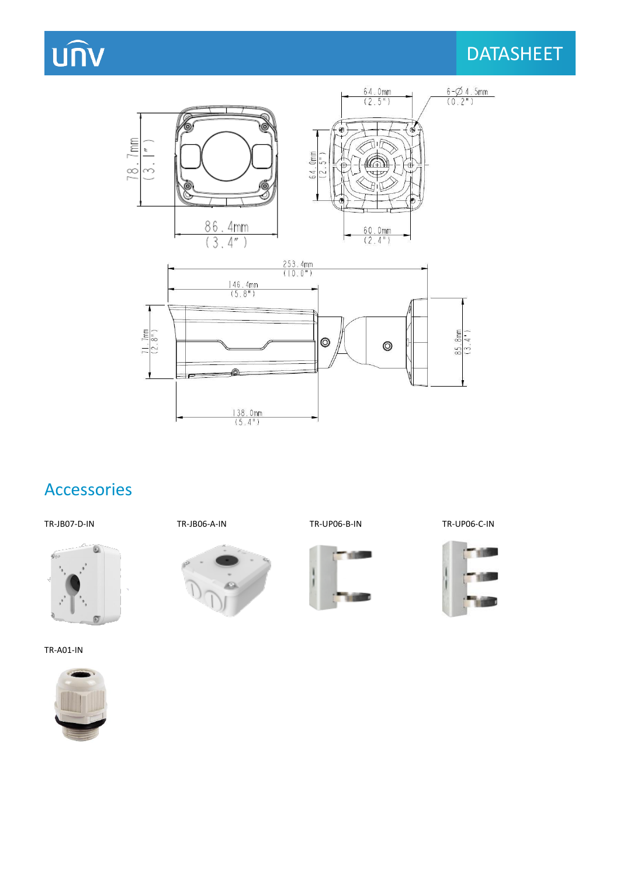# **UNV**

## **DATASHEET**





## Accessories



TR-A01-IN



 $\omega$